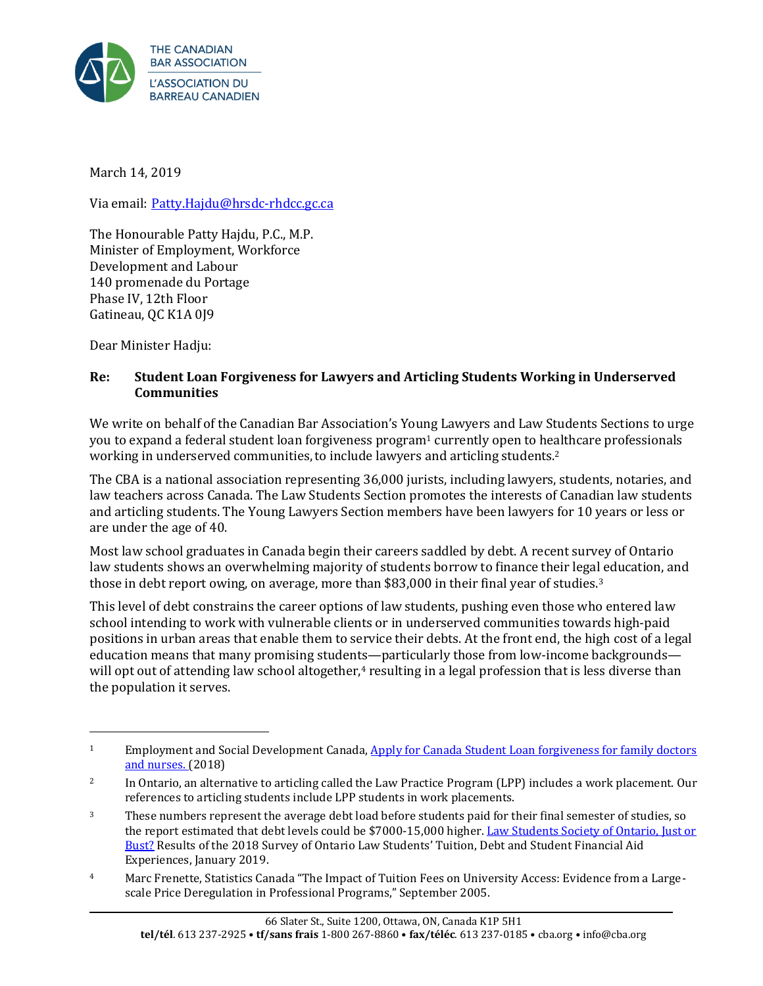

March 14, 2019

Via email: [Patty.Hajdu@hrsdc-rhdcc.gc.ca](mailto:Patty.Hajdu@hrsdc-rhdcc.gc.ca)

The Honourable Patty Hajdu, P.C., M.P. Minister of Employment, Workforce Development and Labour 140 promenade du Portage Phase IV, 12th Floor Gatineau, QC K1A 0J9

Dear Minister Hadju:

 $\overline{a}$ 

## **Re: Student Loan Forgiveness for Lawyers and Articling Students Working in Underserved Communities**

We write on behalf of the Canadian Bar Association's Young Lawyers and Law Students Sections to urge you to expand a federal student loan forgiveness program<sup>1</sup> currently open to healthcare professionals working in underserved communities, to include lawyers and articling students.<sup>2</sup>

The CBA is a national association representing 36,000 jurists, including lawyers, students, notaries, and law teachers across Canada. The Law Students Section promotes the interests of Canadian law students and articling students. The Young Lawyers Section members have been lawyers for 10 years or less or are under the age of 40.

Most law school graduates in Canada begin their careers saddled by debt. A recent survey of Ontario law students shows an overwhelming majority of students borrow to finance their legal education, and those in debt report owing, on average, more than \$83,000 in their final year of studies.<sup>3</sup>

This level of debt constrains the career options of law students, pushing even those who entered law school intending to work with vulnerable clients or in underserved communities towards high-paid positions in urban areas that enable them to service their debts. At the front end, the high cost of a legal education means that many promising students—particularly those from low-income backgrounds will opt out of attending law school altogether,<sup>4</sup> resulting in a legal profession that is less diverse than the population it serves.

<sup>&</sup>lt;sup>1</sup> Employment and Social Development Canada, Apply for Canada Student Loan forgiveness for family doctors [and nurses.](https://www.canada.ca/en/employment-social-development/services/education/student-loan-forgiveness.html) (2018)

<sup>&</sup>lt;sup>2</sup> In Ontario, an alternative to articling called the Law Practice Program (LPP) includes a work placement. Our references to articling students include LPP students in work placements.

<sup>&</sup>lt;sup>3</sup> These numbers represent the average debt load before students paid for their final semester of studies, so the report estimated that debt levels could be \$7000-15,000 higher. [Law Students Society of Ontario, Just or](http://lsso.ca/wp-content/uploads/2019/01/Law-Students-Society-of-Ontario-Just-or-Bust-20191.pdf)  [Bust?](http://lsso.ca/wp-content/uploads/2019/01/Law-Students-Society-of-Ontario-Just-or-Bust-20191.pdf) Results of the 2018 Survey of Ontario Law Students' Tuition, Debt and Student Financial Aid Experiences, January 2019.

<sup>4</sup> Marc Frenette, Statistics Canada "The Impact of Tuition Fees on University Access: Evidence from a Largescale Price Deregulation in Professional Programs," September 2005.